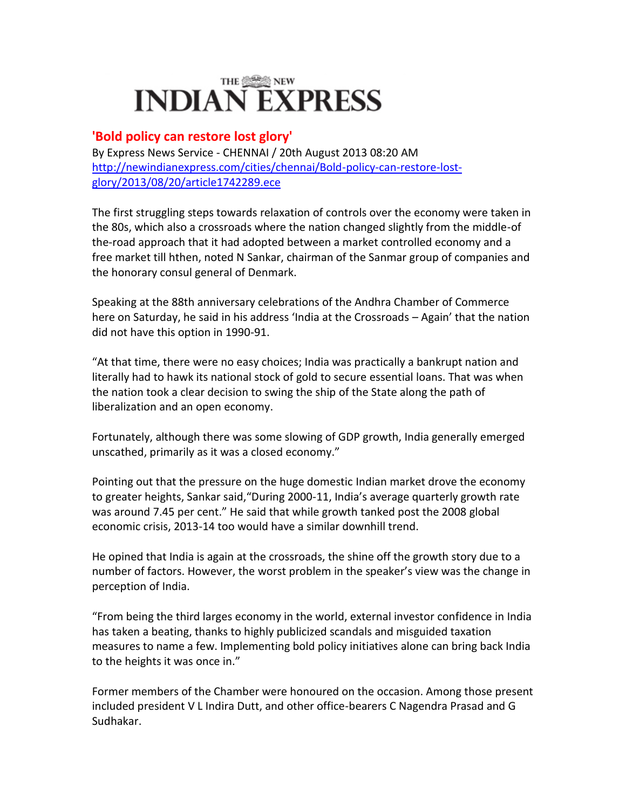# **INDIAN EXPRESS**

## **'Bold policy can restore lost glory'**

By Express News Service - CHENNAI / 20th August 2013 08:20 AM [http://newindianexpress.com/cities/chennai/Bold-policy-can-restore-lost](http://newindianexpress.com/cities/chennai/Bold-policy-can-restore-lost-glory/2013/08/20/article1742289.ece)[glory/2013/08/20/article1742289.ece](http://newindianexpress.com/cities/chennai/Bold-policy-can-restore-lost-glory/2013/08/20/article1742289.ece)

The first struggling steps towards relaxation of controls over the economy were taken in the 80s, which also a crossroads where the nation changed slightly from the middle-of the-road approach that it had adopted between a market controlled economy and a free market till hthen, noted N Sankar, chairman of the Sanmar group of companies and the honorary consul general of Denmark.

Speaking at the 88th anniversary celebrations of the Andhra Chamber of Commerce here on Saturday, he said in his address 'India at the Crossroads – Again' that the nation did not have this option in 1990-91.

"At that time, there were no easy choices; India was practically a bankrupt nation and literally had to hawk its national stock of gold to secure essential loans. That was when the nation took a clear decision to swing the ship of the State along the path of liberalization and an open economy.

Fortunately, although there was some slowing of GDP growth, India generally emerged unscathed, primarily as it was a closed economy."

Pointing out that the pressure on the huge domestic Indian market drove the economy to greater heights, Sankar said,"During 2000-11, India's average quarterly growth rate was around 7.45 per cent." He said that while growth tanked post the 2008 global economic crisis, 2013-14 too would have a similar downhill trend.

He opined that India is again at the crossroads, the shine off the growth story due to a number of factors. However, the worst problem in the speaker's view was the change in perception of India.

"From being the third larges economy in the world, external investor confidence in India has taken a beating, thanks to highly publicized scandals and misguided taxation measures to name a few. Implementing bold policy initiatives alone can bring back India to the heights it was once in."

Former members of the Chamber were honoured on the occasion. Among those present included president V L Indira Dutt, and other office-bearers C Nagendra Prasad and G Sudhakar.